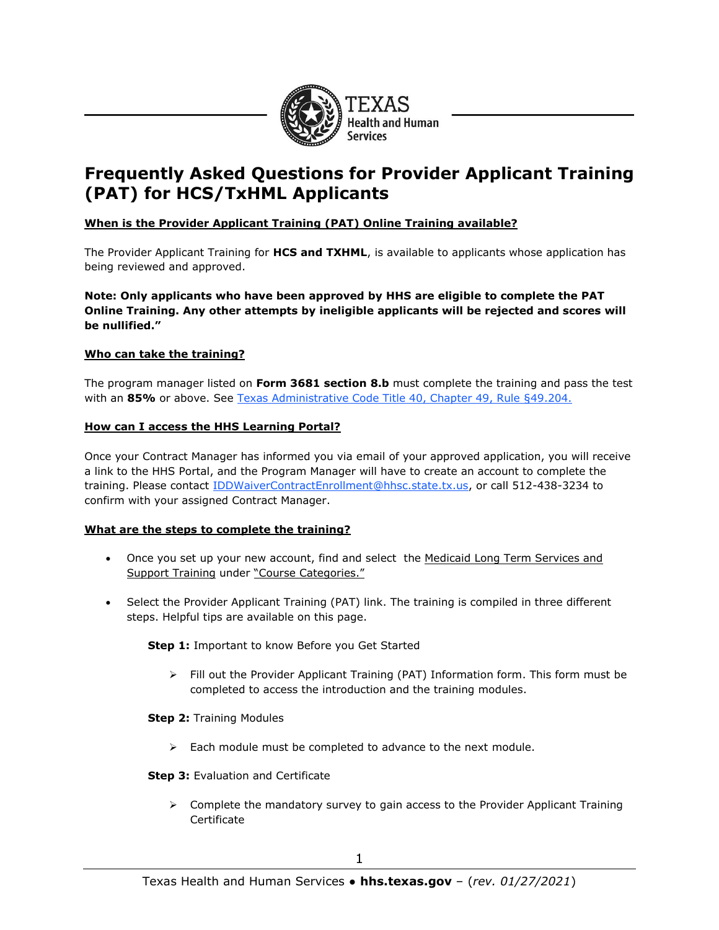

# **Frequently Asked Questions for Provider Applicant Training (PAT) for HCS/TxHML Applicants**

# **When is the Provider Applicant Training (PAT) Online Training available?**

The Provider Applicant Training for **HCS and TXHML**, is available to applicants whose application has being reviewed and approved.

**Note: Only applicants who have been approved by HHS are eligible to complete the PAT Online Training. Any other attempts by ineligible applicants will be rejected and scores will be nullified."**

# **Who can take the training?**

The program manager listed on **Form 3681 section 8.b** must complete the training and pass the test with an 85% or above. See [Texas Administrative Code Title 40, Chapter 49, Rule §49.204.](https://texreg.sos.state.tx.us/public/readtac$ext.TacPage?sl=R&app=9&p_dir=&p_rloc=&p_tloc=&p_ploc=&pg=1&p_tac=&ti=40&pt=1&ch=49&rl=204)

# **How can I access the HHS Learning Portal?**

Once your Contract Manager has informed you via email of your approved application, you will receive a link to the HHS Portal, and the Program Manager will have to create an account to complete the training. Please contact [IDDWaiverContractEnrollment@hhsc.state.tx.us,](mailto:IDDWaiverContractEnrollment@hhsc.state.tx.us) or call 512-438-3234 to confirm with your assigned Contract Manager.

## **What are the steps to complete the training?**

- Once you set up your new account, find and select the Medicaid Long Term Services and Support Training under "Course Categories."
- Select the Provider Applicant Training (PAT) link. The training is compiled in three different steps. Helpful tips are available on this page.

**Step 1:** Important to know Before you Get Started

➢ Fill out the Provider Applicant Training (PAT) Information form. This form must be completed to access the introduction and the training modules.

**Step 2:** Training Modules

➢ Each module must be completed to advance to the next module.

## **Step 3: Evaluation and Certificate**

 $\triangleright$  Complete the mandatory survey to gain access to the Provider Applicant Training Certificate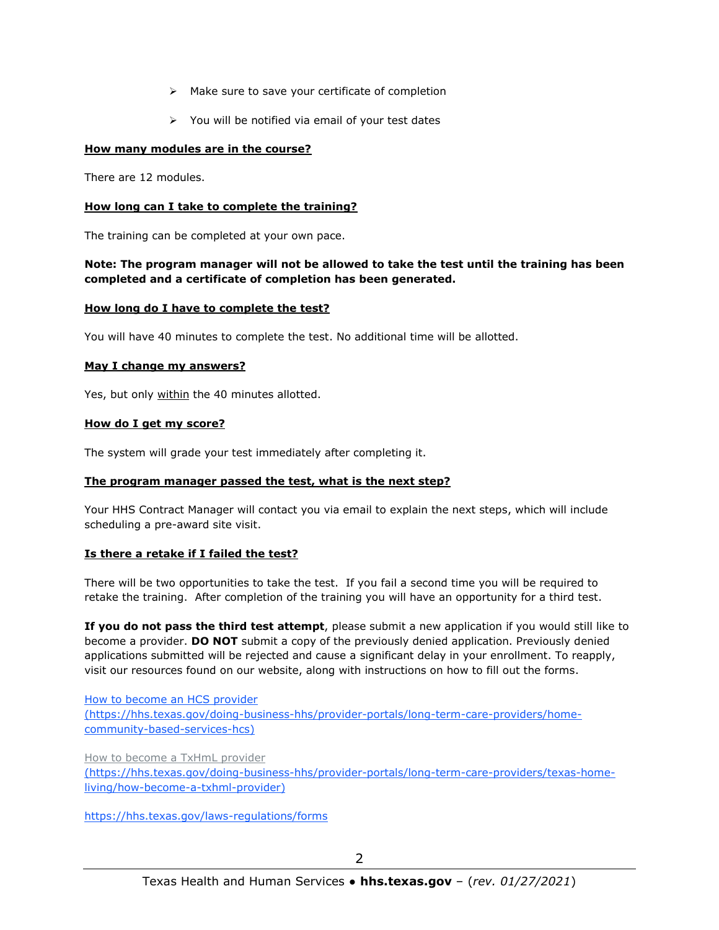- ➢ Make sure to save your certificate of completion
- ➢ You will be notified via email of your test dates

# **How many modules are in the course?**

There are 12 modules.

# **How long can I take to complete the training?**

The training can be completed at your own pace.

# **Note: The program manager will not be allowed to take the test until the training has been completed and a certificate of completion has been generated.**

## **How long do I have to complete the test?**

You will have 40 minutes to complete the test. No additional time will be allotted.

## **May I change my answers?**

Yes, but only within the 40 minutes allotted.

## **How do I get my score?**

The system will grade your test immediately after completing it.

## **The program manager passed the test, what is the next step?**

Your HHS Contract Manager will contact you via email to explain the next steps, which will include scheduling a pre-award site visit.

## **Is there a retake if I failed the test?**

There will be two opportunities to take the test. If you fail a second time you will be required to retake the training. After completion of the training you will have an opportunity for a third test.

**If you do not pass the third test attempt**, please submit a new application if you would still like to become a provider. **DO NOT** submit a copy of the previously denied application. Previously denied applications submitted will be rejected and cause a significant delay in your enrollment. To reapply, visit our resources found on our website, along with instructions on how to fill out the forms.

[How to become an HCS provider](https://hhs.texas.gov/doing-business-hhs/provider-portals/long-term-care-providers/home-community-based-services-hcs) (https://hhs.texas.gov/doing-business-hhs/provider-portals/long-term-care-providers/homecommunity-based-services-hcs)

[How to become a TxHmL provider](https://hhs.texas.gov/doing-business-hhs/provider-portals/long-term-care-providers/texas-home-living/how-become-a-txhml-provider)

(https://hhs.texas.gov/doing-business-hhs/provider-portals/long-term-care-providers/texas-homeliving/how-become-a-txhml-provider)

<https://hhs.texas.gov/laws-regulations/forms>